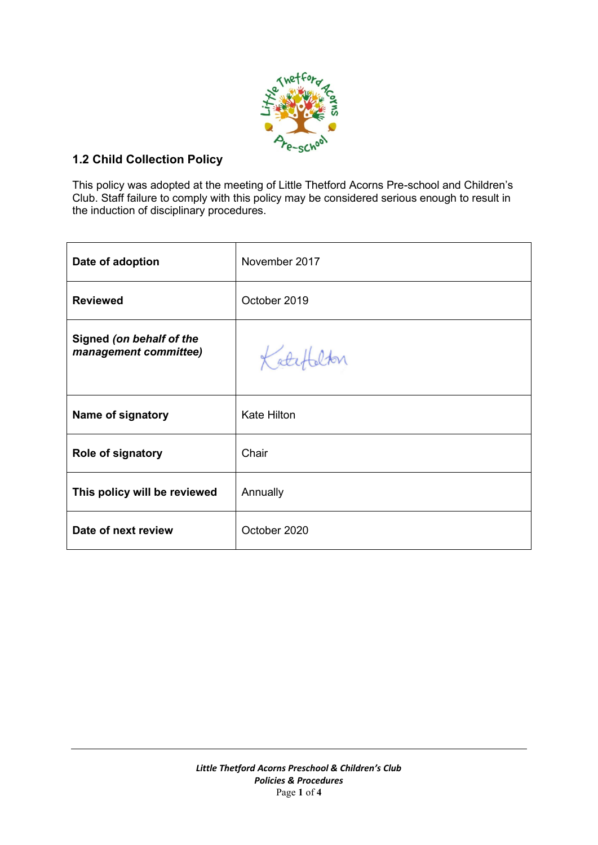

## **1.2 Child Collection Policy**

This policy was adopted at the meeting of Little Thetford Acorns Pre-school and Children's Club. Staff failure to comply with this policy may be considered serious enough to result in the induction of disciplinary procedures.

| Date of adoption                                  | November 2017      |
|---------------------------------------------------|--------------------|
| <b>Reviewed</b>                                   | October 2019       |
| Signed (on behalf of the<br>management committee) | Katefalton         |
| Name of signatory                                 | <b>Kate Hilton</b> |
| Role of signatory                                 | Chair              |
| This policy will be reviewed                      | Annually           |
| Date of next review                               | October 2020       |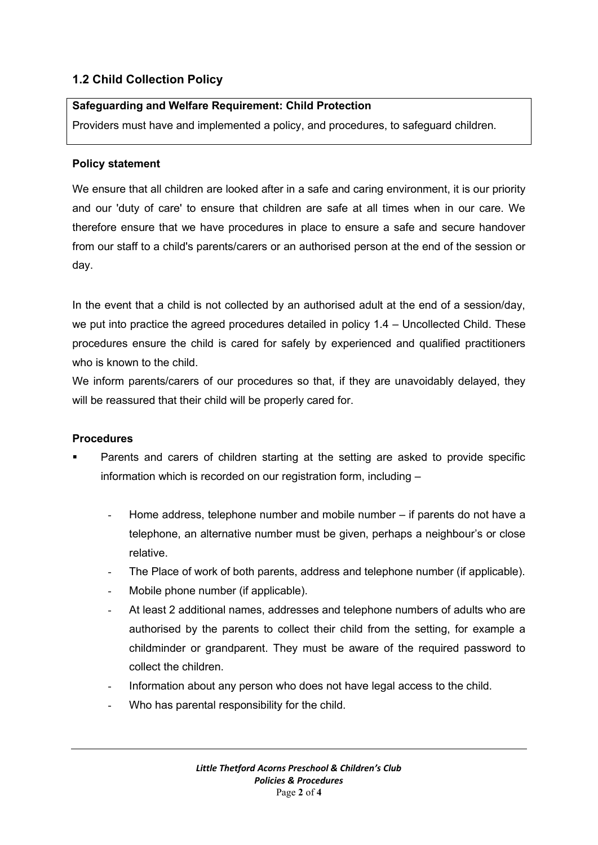# **1.2 Child Collection Policy**

### **Safeguarding and Welfare Requirement: Child Protection**

Providers must have and implemented a policy, and procedures, to safeguard children.

#### **Policy statement**

We ensure that all children are looked after in a safe and caring environment, it is our priority and our 'duty of care' to ensure that children are safe at all times when in our care. We therefore ensure that we have procedures in place to ensure a safe and secure handover from our staff to a child's parents/carers or an authorised person at the end of the session or day.

In the event that a child is not collected by an authorised adult at the end of a session/day, we put into practice the agreed procedures detailed in policy 1.4 – Uncollected Child. These procedures ensure the child is cared for safely by experienced and qualified practitioners who is known to the child.

We inform parents/carers of our procedures so that, if they are unavoidably delayed, they will be reassured that their child will be properly cared for.

#### **Procedures**

- Parents and carers of children starting at the setting are asked to provide specific information which is recorded on our registration form, including –
	- Home address, telephone number and mobile number if parents do not have a telephone, an alternative number must be given, perhaps a neighbour's or close relative.
	- The Place of work of both parents, address and telephone number (if applicable).
	- Mobile phone number (if applicable).
	- At least 2 additional names, addresses and telephone numbers of adults who are authorised by the parents to collect their child from the setting, for example a childminder or grandparent. They must be aware of the required password to collect the children.
	- Information about any person who does not have legal access to the child.
	- Who has parental responsibility for the child.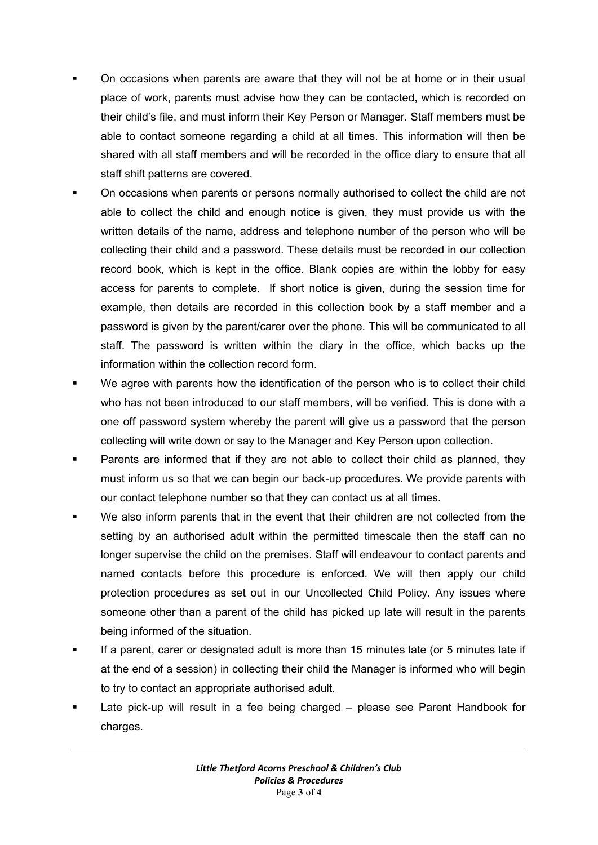- On occasions when parents are aware that they will not be at home or in their usual place of work, parents must advise how they can be contacted, which is recorded on their child's file, and must inform their Key Person or Manager. Staff members must be able to contact someone regarding a child at all times. This information will then be shared with all staff members and will be recorded in the office diary to ensure that all staff shift patterns are covered.
- On occasions when parents or persons normally authorised to collect the child are not able to collect the child and enough notice is given, they must provide us with the written details of the name, address and telephone number of the person who will be collecting their child and a password. These details must be recorded in our collection record book, which is kept in the office. Blank copies are within the lobby for easy access for parents to complete. If short notice is given, during the session time for example, then details are recorded in this collection book by a staff member and a password is given by the parent/carer over the phone. This will be communicated to all staff. The password is written within the diary in the office, which backs up the information within the collection record form.
- We agree with parents how the identification of the person who is to collect their child who has not been introduced to our staff members, will be verified. This is done with a one off password system whereby the parent will give us a password that the person collecting will write down or say to the Manager and Key Person upon collection.
- Parents are informed that if they are not able to collect their child as planned, they must inform us so that we can begin our back-up procedures. We provide parents with our contact telephone number so that they can contact us at all times.
- We also inform parents that in the event that their children are not collected from the setting by an authorised adult within the permitted timescale then the staff can no longer supervise the child on the premises. Staff will endeavour to contact parents and named contacts before this procedure is enforced. We will then apply our child protection procedures as set out in our Uncollected Child Policy. Any issues where someone other than a parent of the child has picked up late will result in the parents being informed of the situation.
- If a parent, carer or designated adult is more than 15 minutes late (or 5 minutes late if at the end of a session) in collecting their child the Manager is informed who will begin to try to contact an appropriate authorised adult.
- Late pick-up will result in a fee being charged please see Parent Handbook for charges.